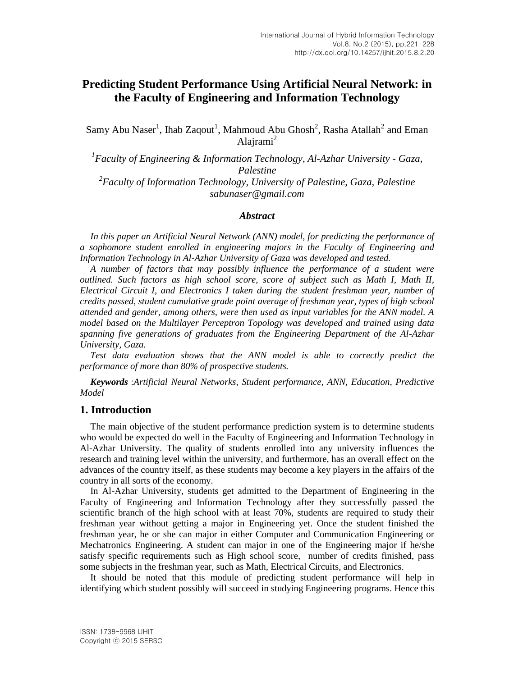# **Predicting Student Performance Using Artificial Neural Network: in the Faculty of Engineering and Information Technology**

Samy Abu Naser<sup>1</sup>, Ihab Zaqout<sup>1</sup>, Mahmoud Abu Ghosh<sup>2</sup>, Rasha Atallah<sup>2</sup> and Eman Alajrami<sup>2</sup>

<sup>1</sup> Faculty of Engineering & Information Technology, Al-Azhar University - Gaza, *Palestine 2 Faculty of Information Technology, University of Palestine, Gaza, Palestine* 

> *sabunaser@gmail.com Abstract*

In this paper an Artificial Neural Network (ANN) model, for predicting the performance of *a sophomore student enrolled in engineering majors in the Faculty of Engineering and Information Technology in Al-Azhar University of Gaza was developed and tested.*

*A number of factors that may possibly influence the performance of a student were outlined. Such factors as high school score, score of subject such as Math I, Math II, Electrical Circuit I, and Electronics I taken during the student freshman year, number of credits passed, student cumulative grade point average of freshman year, types of high school attended and gender, among others, were then used as input variables for the ANN model. A model based on the Multilayer Perceptron Topology was developed and trained using data spanning five generations of graduates from the Engineering Department of the Al-Azhar University, Gaza.*

*Test data evaluation shows that the ANN model is able to correctly predict the performance of more than 80% of prospective students.* 

*Keywords* :*Artificial Neural Networks, Student performance, ANN, Education, Predictive Model* 

## **1. Introduction**

The main objective of the student performance prediction system is to determine students who would be expected do well in the Faculty of Engineering and Information Technology in Al-Azhar University. The quality of students enrolled into any university influences the research and training level within the university, and furthermore, has an overall effect on the advances of the country itself, as these students may become a key players in the affairs of the country in all sorts of the economy.

In Al-Azhar University, students get admitted to the Department of Engineering in the Faculty of Engineering and Information Technology after they successfully passed the scientific branch of the high school with at least 70%, students are required to study their freshman year without getting a major in Engineering yet. Once the student finished the freshman year, he or she can major in either Computer and Communication Engineering or Mechatronics Engineering. A student can major in one of the Engineering major if he/she satisfy specific requirements such as High school score, number of credits finished, pass some subjects in the freshman year, such as Math, Electrical Circuits, and Electronics.

It should be noted that this module of predicting student performance will help in identifying which student possibly will succeed in studying Engineering programs. Hence this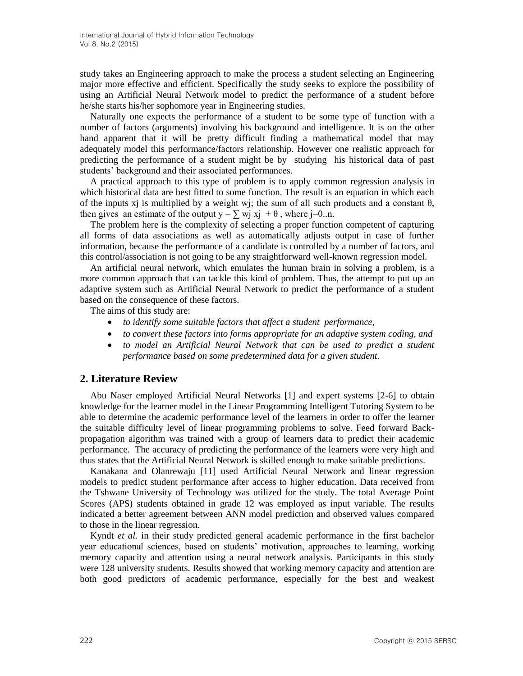study takes an Engineering approach to make the process a student selecting an Engineering major more effective and efficient. Specifically the study seeks to explore the possibility of using an Artificial Neural Network model to predict the performance of a student before he/she starts his/her sophomore year in Engineering studies.

Naturally one expects the performance of a student to be some type of function with a number of factors (arguments) involving his background and intelligence. It is on the other hand apparent that it will be pretty difficult finding a mathematical model that may adequately model this performance/factors relationship. However one realistic approach for predicting the performance of a student might be by studying his historical data of past students' background and their associated performances.

A practical approach to this type of problem is to apply common regression analysis in which historical data are best fitted to some function. The result is an equation in which each of the inputs xj is multiplied by a weight wj; the sum of all such products and a constant  $\theta$ , then gives an estimate of the output  $y = \sum w_i x_i + \theta$ , where j=0..n.

The problem here is the complexity of selecting a proper function competent of capturing all forms of data associations as well as automatically adjusts output in case of further information, because the performance of a candidate is controlled by a number of factors, and this control/association is not going to be any straightforward well-known regression model.

An artificial neural network, which emulates the human brain in solving a problem, is a more common approach that can tackle this kind of problem. Thus, the attempt to put up an adaptive system such as Artificial Neural Network to predict the performance of a student based on the consequence of these factors.

The aims of this study are:

- *to identify some suitable factors that affect a student performance,*
- *to convert these factors into forms appropriate for an adaptive system coding, and*
- *to model an Artificial Neural Network that can be used to predict a student performance based on some predetermined data for a given student.*

#### **2. Literature Review**

Abu Naser employed Artificial Neural Networks [1] and expert systems [2-6] to obtain knowledge for the learner model in the Linear Programming Intelligent Tutoring System to be able to determine the academic performance level of the learners in order to offer the learner the suitable difficulty level of linear programming problems to solve. Feed forward Backpropagation algorithm was trained with a group of learners data to predict their academic performance. The accuracy of predicting the performance of the learners were very high and thus states that the Artificial Neural Network is skilled enough to make suitable predictions.

Kanakana and Olanrewaju [11] used Artificial Neural Network and linear regression models to predict student performance after access to higher education. Data received from the Tshwane University of Technology was utilized for the study. The total Average Point Scores (APS) students obtained in grade 12 was employed as input variable. The results indicated a better agreement between ANN model prediction and observed values compared to those in the linear regression.

Kyndt *et al.* in their study predicted general academic performance in the first bachelor year educational sciences, based on students' motivation, approaches to learning, working memory capacity and attention using a neural network analysis. Participants in this study were 128 university students. Results showed that working memory capacity and attention are both good predictors of academic performance, especially for the best and weakest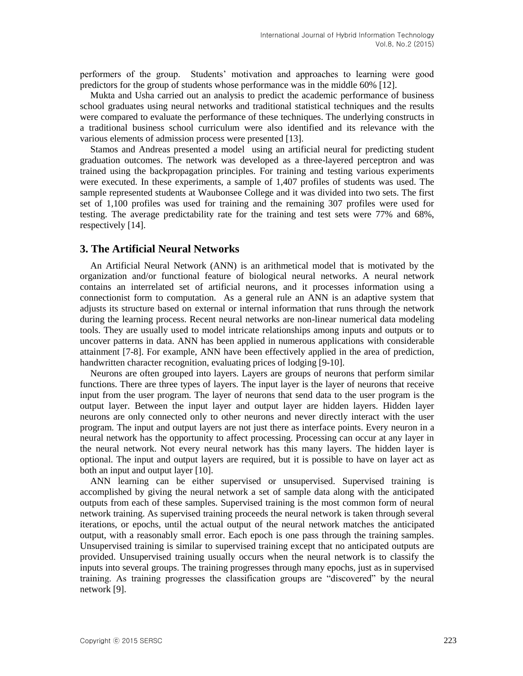performers of the group. Students' motivation and approaches to learning were good predictors for the group of students whose performance was in the middle 60% [12].

Mukta and Usha carried out an analysis to predict the academic performance of business school graduates using neural networks and traditional statistical techniques and the results were compared to evaluate the performance of these techniques. The underlying constructs in a traditional business school curriculum were also identified and its relevance with the various elements of admission process were presented [13].

Stamos and Andreas presented a model using an artificial neural for predicting student graduation outcomes. The network was developed as a three-layered perceptron and was trained using the backpropagation principles. For training and testing various experiments were executed. In these experiments, a sample of 1,407 profiles of students was used. The sample represented students at Waubonsee College and it was divided into two sets. The first set of 1,100 profiles was used for training and the remaining 307 profiles were used for testing. The average predictability rate for the training and test sets were 77% and 68%, respectively [14].

# **3. The Artificial Neural Networks**

An Artificial Neural Network (ANN) is an arithmetical model that is motivated by the organization and/or functional feature of biological neural networks. A neural network contains an interrelated set of artificial neurons, and it processes information using a connectionist form to computation. As a general rule an ANN is an adaptive system that adjusts its structure based on external or internal information that runs through the network during the learning process. Recent neural networks are non-linear numerical data modeling tools. They are usually used to model intricate relationships among inputs and outputs or to uncover patterns in data. ANN has been applied in numerous applications with considerable attainment [7-8]. For example, ANN have been effectively applied in the area of prediction, handwritten character recognition, evaluating prices of lodging [9-10].

Neurons are often grouped into layers. Layers are groups of neurons that perform similar functions. There are three types of layers. The input layer is the layer of neurons that receive input from the user program. The layer of neurons that send data to the user program is the output layer. Between the input layer and output layer are hidden layers. Hidden layer neurons are only connected only to other neurons and never directly interact with the user program. The input and output layers are not just there as interface points. Every neuron in a neural network has the opportunity to affect processing. Processing can occur at any layer in the neural network. Not every neural network has this many layers. The hidden layer is optional. The input and output layers are required, but it is possible to have on layer act as both an input and output layer [10].

ANN learning can be either supervised or unsupervised. Supervised training is accomplished by giving the neural network a set of sample data along with the anticipated outputs from each of these samples. Supervised training is the most common form of neural network training. As supervised training proceeds the neural network is taken through several iterations, or epochs, until the actual output of the neural network matches the anticipated output, with a reasonably small error. Each epoch is one pass through the training samples. Unsupervised training is similar to supervised training except that no anticipated outputs are provided. Unsupervised training usually occurs when the neural network is to classify the inputs into several groups. The training progresses through many epochs, just as in supervised training. As training progresses the classification groups are "discovered" by the neural network [9].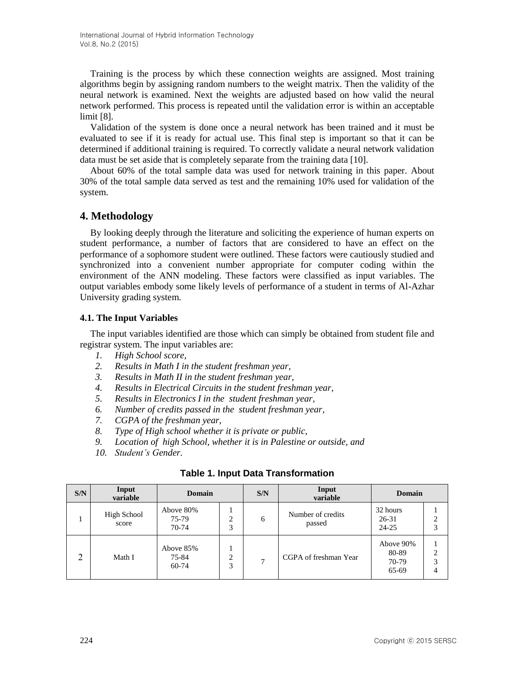Training is the process by which these connection weights are assigned. Most training algorithms begin by assigning random numbers to the weight matrix. Then the validity of the neural network is examined. Next the weights are adjusted based on how valid the neural network performed. This process is repeated until the validation error is within an acceptable limit [8].

Validation of the system is done once a neural network has been trained and it must be evaluated to see if it is ready for actual use. This final step is important so that it can be determined if additional training is required. To correctly validate a neural network validation data must be set aside that is completely separate from the training data [10].

About 60% of the total sample data was used for network training in this paper. About 30% of the total sample data served as test and the remaining 10% used for validation of the system.

# **4. Methodology**

By looking deeply through the literature and soliciting the experience of human experts on student performance, a number of factors that are considered to have an effect on the performance of a sophomore student were outlined. These factors were cautiously studied and synchronized into a convenient number appropriate for computer coding within the environment of the ANN modeling. These factors were classified as input variables. The output variables embody some likely levels of performance of a student in terms of Al-Azhar University grading system.

#### **4.1. The Input Variables**

The input variables identified are those which can simply be obtained from student file and registrar system. The input variables are:

- *1. High School score,*
- *2. Results in Math I in the student freshman year,*
- *3. Results in Math II in the student freshman year,*
- *4. Results in Electrical Circuits in the student freshman year,*
- *5. Results in Electronics I in the student freshman year,*
- *6. Number of credits passed in the student freshman year,*
- *7. CGPA of the freshman year,*
- *8. Type of High school whether it is private or public,*
- *9. Location of high School, whether it is in Palestine or outside, and*
- *10. Student's Gender.*

| S/N | Input<br>variable    | Domain                      |        | S/N | Input<br>variable           | Domain                               |             |
|-----|----------------------|-----------------------------|--------|-----|-----------------------------|--------------------------------------|-------------|
|     | High School<br>score | Above 80%<br>75-79<br>70-74 | ↑<br>3 | 6   | Number of credits<br>passed | 32 hours<br>26-31<br>24-25           | ↑<br>3      |
| 2   | Math I               | Above 85%<br>75-84<br>60-74 | C<br>3 | ⇁   | CGPA of freshman Year       | Above 90%<br>80-89<br>70-79<br>65-69 | ◠<br>3<br>4 |

#### **Table 1. Input Data Transformation**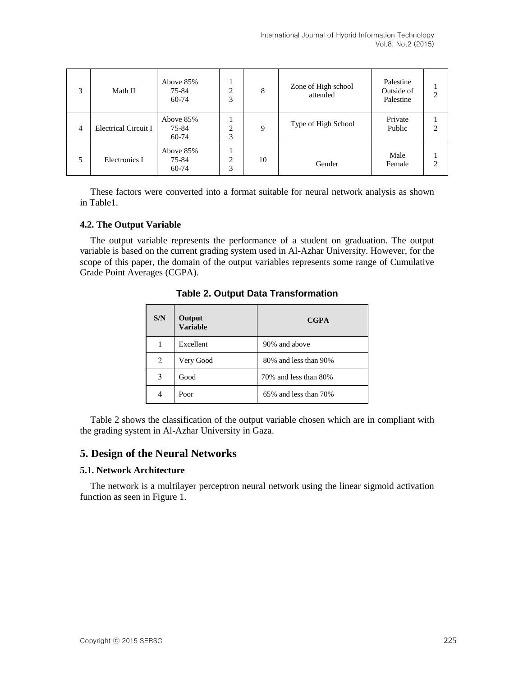| 3              | Math II              | Above 85%<br>75-84<br>60-74 | C<br>3 | 8  | Zone of High school<br>attended | Palestine<br>Outside of<br>Palestine | C |
|----------------|----------------------|-----------------------------|--------|----|---------------------------------|--------------------------------------|---|
| $\overline{4}$ | Electrical Circuit I | Above 85%<br>75-84<br>60-74 | ◠<br>3 | 9  | Type of High School             | Private<br>Public                    | ◠ |
| 5              | Electronics I        | Above 85%<br>75-84<br>60-74 | C<br>3 | 10 | Gender                          | Male<br>Female                       | ◠ |

These factors were converted into a format suitable for neural network analysis as shown in Table1.

## **4.2. The Output Variable**

The output variable represents the performance of a student on graduation. The output variable is based on the current grading system used in Al-Azhar University. However, for the scope of this paper, the domain of the output variables represents some range of Cumulative Grade Point Averages (CGPA).

| S/N | Output<br><b>Variable</b> | <b>CGPA</b>           |
|-----|---------------------------|-----------------------|
| 1   | Excellent                 | 90% and above         |
| 2   | Very Good                 | 80% and less than 90% |
| 3   | Good                      | 70% and less than 80% |
| 4   | Poor                      | 65% and less than 70% |

#### **Table 2. Output Data Transformation**

Table 2 shows the classification of the output variable chosen which are in compliant with the grading system in Al-Azhar University in Gaza.

# **5. Design of the Neural Networks**

#### **5.1. Network Architecture**

The network is a multilayer perceptron neural network using the linear sigmoid activation function as seen in Figure 1.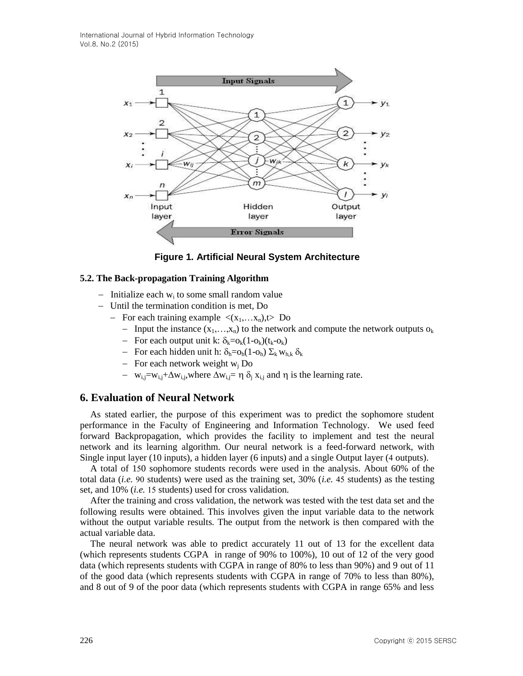

**Figure 1. Artificial Neural System Architecture**

#### **5.2. The Back-propagation Training Algorithm**

- Initialize each  $w_i$  to some small random value
- Until the termination condition is met, Do
	- For each training example  $\langle (x_1,...x_n),t\rangle$  Do
		- Input the instance  $(x_1,...,x_n)$  to the network and compute the network outputs  $o_k$
		- For each output unit k:  $\delta_k = o_k(1-o_k)(t_k-o_k)$
		- For each hidden unit h:  $\delta_h = o_h(1-o_h) \Sigma_k w_{h,k} \delta_k$
		- For each network weight  $w_i$  Do
		- $-$  w<sub>i,j</sub>=w<sub>i,j</sub>+ $\Delta$ w<sub>i,j</sub>,where  $\Delta$ w<sub>i,j</sub>=  $\eta \delta$ <sub>i</sub> x<sub>i,j</sub> and  $\eta$  is the learning rate.

# **6. Evaluation of Neural Network**

As stated earlier, the purpose of this experiment was to predict the sophomore student performance in the Faculty of Engineering and Information Technology. We used feed forward Backpropagation, which provides the facility to implement and test the neural network and its learning algorithm. Our neural network is a feed-forward network, with Single input layer (10 inputs), a hidden layer (6 inputs) and a single Output layer (4 outputs).

A total of 150 sophomore students records were used in the analysis. About 60% of the total data (*i.e.* 90 students) were used as the training set, 30% (*i.e.* 45 students) as the testing set, and 10% (*i.e.* 15 students) used for cross validation.

After the training and cross validation, the network was tested with the test data set and the following results were obtained. This involves given the input variable data to the network without the output variable results. The output from the network is then compared with the actual variable data.

The neural network was able to predict accurately 11 out of 13 for the excellent data (which represents students CGPA in range of 90% to 100%), 10 out of 12 of the very good data (which represents students with CGPA in range of 80% to less than 90%) and 9 out of 11 of the good data (which represents students with CGPA in range of 70% to less than 80%), and 8 out of 9 of the poor data (which represents students with CGPA in range 65% and less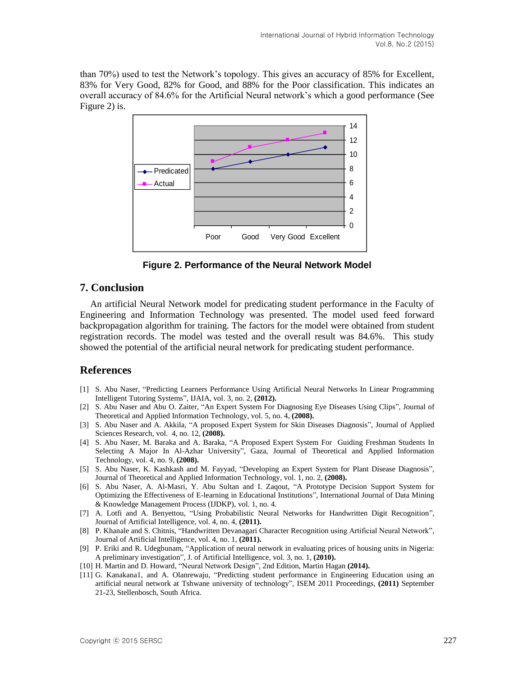than 70%) used to test the Network's topology. This gives an accuracy of 85% for Excellent, 83% for Very Good, 82% for Good, and 88% for the Poor classification. This indicates an overall accuracy of 84.6% for the Artificial Neural network's which a good performance (See Figure 2) is.



**Figure 2. Performance of the Neural Network Model**

# **7. Conclusion**

An artificial Neural Network model for predicating student performance in the Faculty of Engineering and Information Technology was presented. The model used feed forward backpropagation algorithm for training. The factors for the model were obtained from student registration records. The model was tested and the overall result was 84.6%. This study showed the potential of the artificial neural network for predicating student performance.

# **References**

- [1] S. Abu Naser, "Predicting Learners Performance Using Artificial Neural Networks In Linear Programming Intelligent Tutoring Systems", IJAIA, vol. 3, no. 2, **(2012).**
- [2] S. Abu Naser and Abu O. Zaiter, "An Expert System For Diagnosing Eye Diseases Using Clips", Journal of Theoretical and Applied Information Technology, vol. 5, no. 4, **(2008).**
- [3] S. Abu Naser and A. Akkila, "A proposed Expert System for Skin Diseases Diagnosis", Journal of Applied Sciences Research, vol. 4, no. 12, **(2008).**
- [4] S. Abu Naser, M. Baraka and A. Baraka, "A Proposed Expert System For Guiding Freshman Students In Selecting A Major In Al-Azhar University", Gaza, Journal of Theoretical and Applied Information Technology, vol. 4, no. 9, **(2008).**
- [5] S. Abu Naser, K. Kashkash and M. Fayyad, "Developing an Expert System for Plant Disease Diagnosis", Journal of Theoretical and Applied Information Technology, vol. 1, no. 2, **(2008).**
- [6] S. Abu Naser, A. Al-Masri, Y. Abu Sultan and I. Zaqout, "A Prototype Decision Support System for Optimizing the Effectiveness of E-learning in Educational Institutions", International Journal of Data Mining & Knowledge Management Process (IJDKP), vol. 1, no. 4.
- [7] A. Lotfi and A. Benyettou, "Using Probabilistic Neural Networks for Handwritten Digit Recognition", Journal of Artificial Intelligence, vol. 4, no. 4, **(2011).**
- [8] P. Khanale and S. Chitnis, "Handwritten Devanagari Character Recognition using Artificial Neural Network", Journal of Artificial Intelligence, vol. 4, no. 1, **(2011).**
- [9] P. Eriki and R. Udegbunam, "Application of neural network in evaluating prices of housing units in Nigeria: A preliminary investigation", J. of Artificial Intelligence, vol. 3, no. 1, **(2010).**
- [10] H. Martin and D. Howard, "Neural Network Design", 2nd Edition, Martin Hagan **(2014).**
- [11] G. Kanakana1, and A. Olanrewaju, "Predicting student performance in Engineering Education using an artificial neural network at Tshwane university of technology", ISEM 2011 Proceedings, **(2011)** September 21-23, Stellenbosch, South Africa.